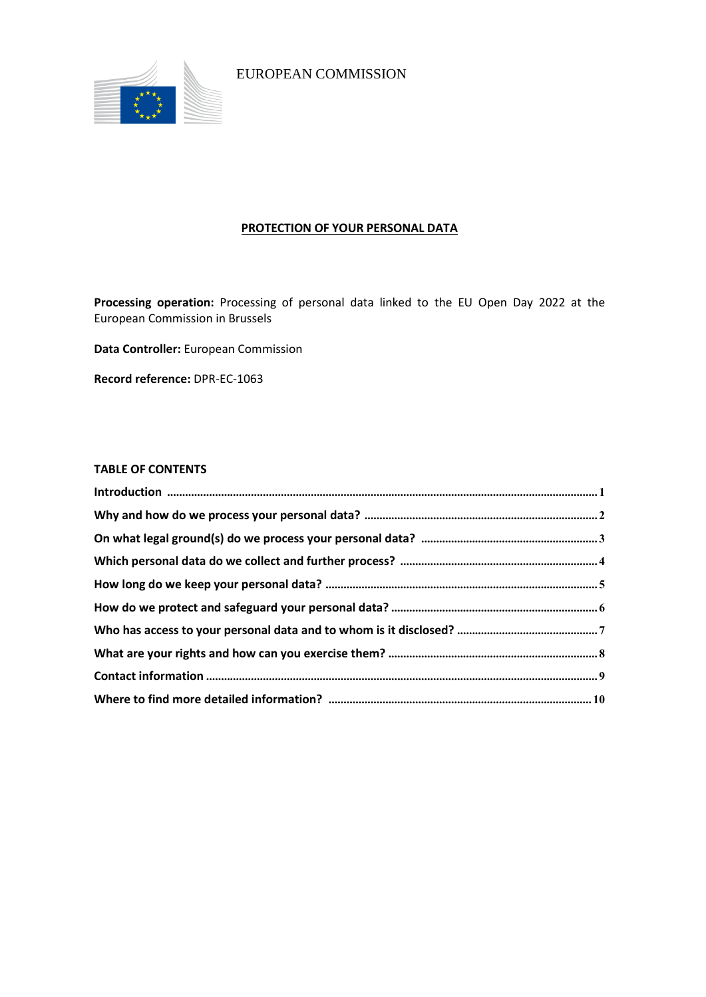

EUROPEAN COMMISSION

# **PROTECTION OF YOUR PERSONAL DATA**

**Processing operation:** Processing of personal data linked to the EU Open Day 2022 at the European Commission in Brussels

**Data Controller:** European Commission

**Record reference:** DPR-EC-1063

## **TABLE OF CONTENTS**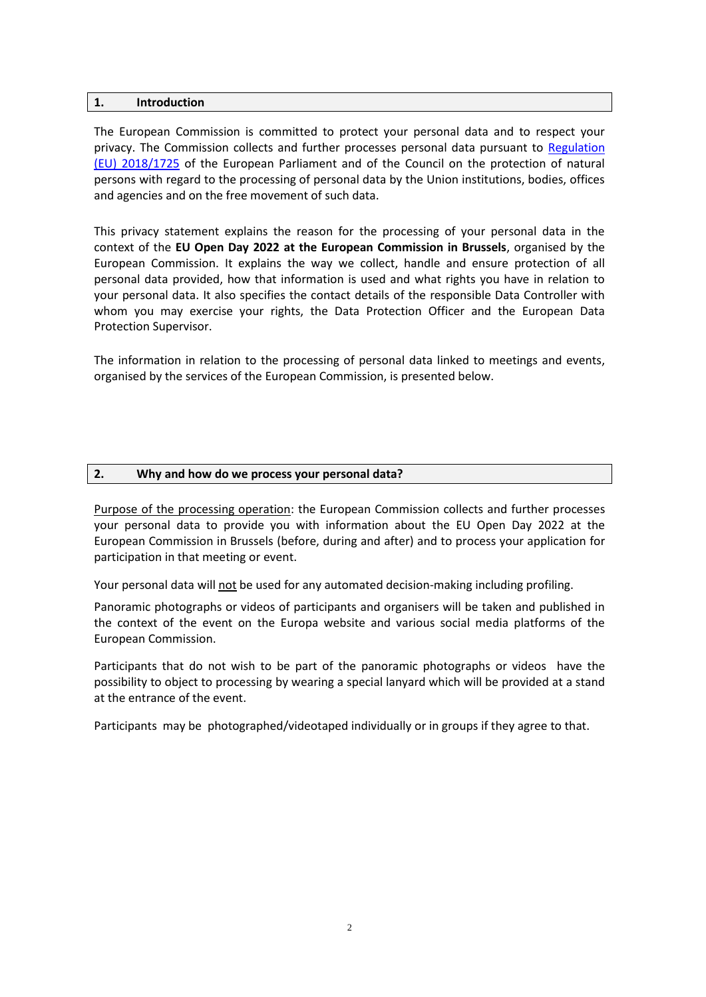#### <span id="page-1-0"></span>**1. Introduction**

The European Commission is committed to protect your personal data and to respect your privacy. The Commission collects and further processes personal data pursuant to Regulation [\(EU\) 2018/1725](https://eur-lex.europa.eu/legal-content/EN/TXT/?uri=uriserv:OJ.L_.2018.295.01.0039.01.ENG&toc=OJ:L:2018:295:TOC) of the European Parliament and of the Council on the protection of natural persons with regard to the processing of personal data by the Union institutions, bodies, offices and agencies and on the free movement of such data.

This privacy statement explains the reason for the processing of your personal data in the context of the **EU Open Day 2022 at the European Commission in Brussels**, organised by the European Commission. It explains the way we collect, handle and ensure protection of all personal data provided, how that information is used and what rights you have in relation to your personal data. It also specifies the contact details of the responsible Data Controller with whom you may exercise your rights, the Data Protection Officer and the European Data Protection Supervisor.

The information in relation to the processing of personal data linked to meetings and events, organised by the services of the European Commission, is presented below.

#### <span id="page-1-1"></span>**2. Why and how do we process your personal data?**

Purpose of the processing operation: the European Commission collects and further processes your personal data to provide you with information about the EU Open Day 2022 at the European Commission in Brussels (before, during and after) and to process your application for participation in that meeting or event.

Your personal data will not be used for any automated decision-making including profiling.

Panoramic photographs or videos of participants and organisers will be taken and published in the context of the event on the Europa website and various social media platforms of the European Commission.

Participants that do not wish to be part of the panoramic photographs or videos have the possibility to object to processing by wearing a special lanyard which will be provided at a stand at the entrance of the event.

Participants may be photographed/videotaped individually or in groups if they agree to that.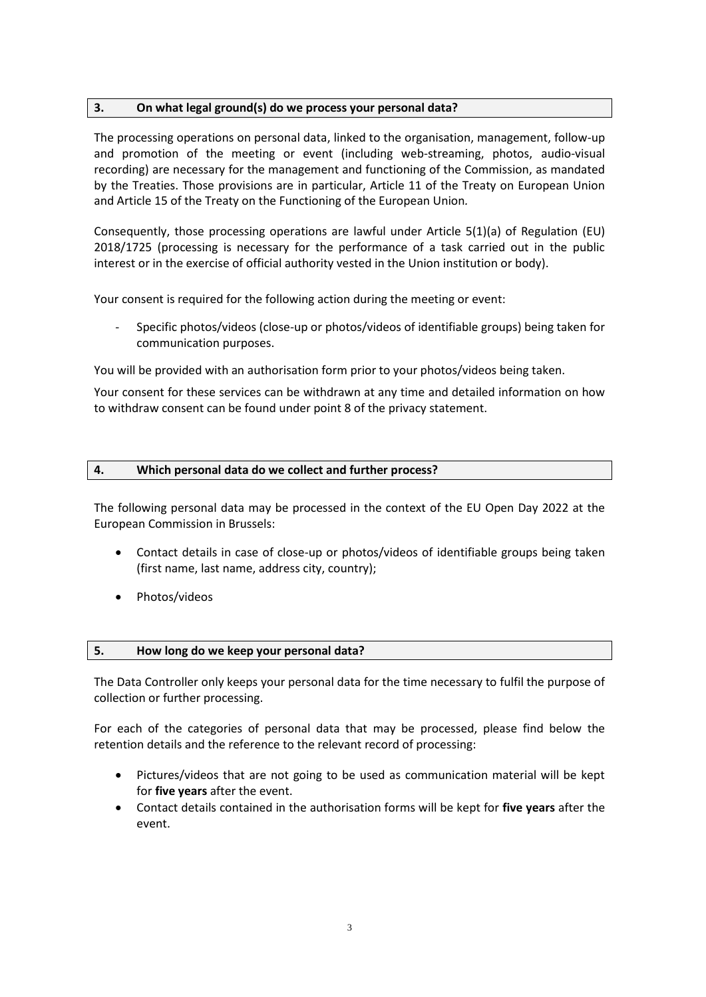## <span id="page-2-0"></span>**3. On what legal ground(s) do we process your personal data?**

The processing operations on personal data, linked to the organisation, management, follow-up and promotion of the meeting or event (including web-streaming, photos, audio-visual recording) are necessary for the management and functioning of the Commission, as mandated by the Treaties. Those provisions are in particular, Article 11 of the Treaty on European Union and Article 15 of the Treaty on the Functioning of the European Union*.*

Consequently, those processing operations are lawful under Article 5(1)(a) of Regulation (EU) 2018/1725 (processing is necessary for the performance of a task carried out in the public interest or in the exercise of official authority vested in the Union institution or body).

Your consent is required for the following action during the meeting or event:

- Specific photos/videos (close-up or photos/videos of identifiable groups) being taken for communication purposes.

You will be provided with an authorisation form prior to your photos/videos being taken.

Your consent for these services can be withdrawn at any time and detailed information on how to withdraw consent can be found under point 8 of the privacy statement.

## <span id="page-2-1"></span>**4. Which personal data do we collect and further process?**

The following personal data may be processed in the context of the EU Open Day 2022 at the European Commission in Brussels:

- Contact details in case of close-up or photos/videos of identifiable groups being taken (first name, last name, address city, country);
- Photos/videos

## <span id="page-2-2"></span>**5. How long do we keep your personal data?**

The Data Controller only keeps your personal data for the time necessary to fulfil the purpose of collection or further processing.

For each of the categories of personal data that may be processed, please find below the retention details and the reference to the relevant record of processing:

- Pictures/videos that are not going to be used as communication material will be kept for **five years** after the event.
- Contact details contained in the authorisation forms will be kept for **five years** after the event.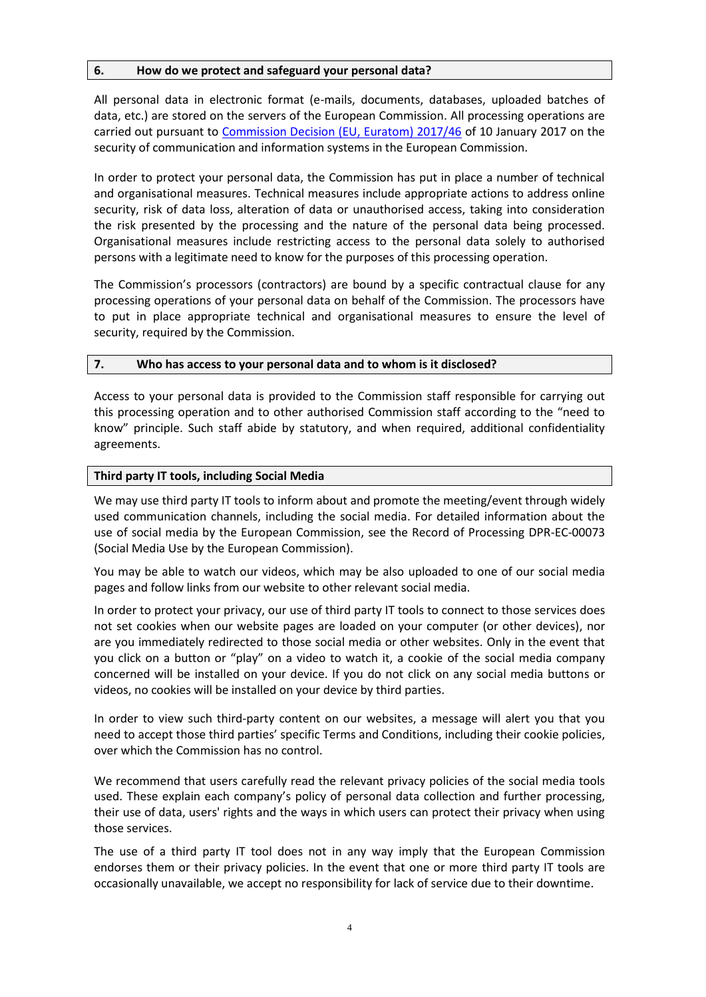## <span id="page-3-0"></span>**6. How do we protect and safeguard your personal data?**

All personal data in electronic format (e-mails, documents, databases, uploaded batches of data, etc.) are stored on the servers of the European Commission. All processing operations are carried out pursuant to [Commission Decision \(EU, Euratom\) 2017/46](https://eur-lex.europa.eu/legal-content/EN/TXT/?qid=1548093747090&uri=CELEX:32017D0046) of 10 January 2017 on the security of communication and information systems in the European Commission.

In order to protect your personal data, the Commission has put in place a number of technical and organisational measures. Technical measures include appropriate actions to address online security, risk of data loss, alteration of data or unauthorised access, taking into consideration the risk presented by the processing and the nature of the personal data being processed. Organisational measures include restricting access to the personal data solely to authorised persons with a legitimate need to know for the purposes of this processing operation.

The Commission's processors (contractors) are bound by a specific contractual clause for any processing operations of your personal data on behalf of the Commission. The processors have to put in place appropriate technical and organisational measures to ensure the level of security, required by the Commission.

#### <span id="page-3-1"></span>**7. Who has access to your personal data and to whom is it disclosed?**

Access to your personal data is provided to the Commission staff responsible for carrying out this processing operation and to other authorised Commission staff according to the "need to know" principle. Such staff abide by statutory, and when required, additional confidentiality agreements.

#### **Third party IT tools, including Social Media**

We may use third party IT tools to inform about and promote the meeting/event through widely used communication channels, including the social media. For detailed information about the use of social media by the European Commission, see the Record of Processing DPR-EC-00073 (Social Media Use by the European Commission).

You may be able to watch our videos, which may be also uploaded to one of our social media pages and follow links from our website to other relevant social media.

In order to protect your privacy, our use of third party IT tools to connect to those services does not set cookies when our website pages are loaded on your computer (or other devices), nor are you immediately redirected to those social media or other websites. Only in the event that you click on a button or "play" on a video to watch it, a cookie of the social media company concerned will be installed on your device. If you do not click on any social media buttons or videos, no cookies will be installed on your device by third parties.

In order to view such third-party content on our websites, a message will alert you that you need to accept those third parties' specific Terms and Conditions, including their cookie policies, over which the Commission has no control.

We recommend that users carefully read the relevant privacy policies of the social media tools used. These explain each company's policy of personal data collection and further processing, their use of data, users' rights and the ways in which users can protect their privacy when using those services.

The use of a third party IT tool does not in any way imply that the European Commission endorses them or their privacy policies. In the event that one or more third party IT tools are occasionally unavailable, we accept no responsibility for lack of service due to their downtime.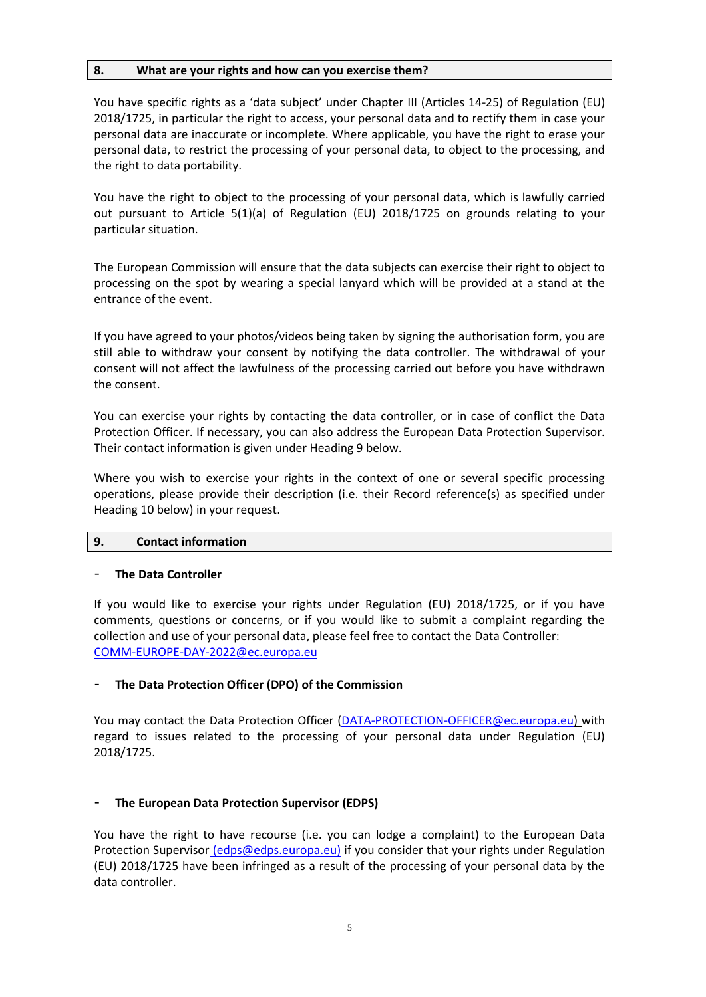## <span id="page-4-0"></span>**8. What are your rights and how can you exercise them?**

You have specific rights as a 'data subject' under Chapter III (Articles 14-25) of Regulation (EU) 2018/1725, in particular the right to access, your personal data and to rectify them in case your personal data are inaccurate or incomplete. Where applicable, you have the right to erase your personal data, to restrict the processing of your personal data, to object to the processing, and the right to data portability.

You have the right to object to the processing of your personal data, which is lawfully carried out pursuant to Article 5(1)(a) of Regulation (EU) 2018/1725 on grounds relating to your particular situation.

The European Commission will ensure that the data subjects can exercise their right to object to processing on the spot by wearing a special lanyard which will be provided at a stand at the entrance of the event.

If you have agreed to your photos/videos being taken by signing the authorisation form, you are still able to withdraw your consent by notifying the data controller. The withdrawal of your consent will not affect the lawfulness of the processing carried out before you have withdrawn the consent.

You can exercise your rights by contacting the data controller, or in case of conflict the Data Protection Officer. If necessary, you can also address the European Data Protection Supervisor. Their contact information is given under Heading 9 below.

Where you wish to exercise your rights in the context of one or several specific processing operations, please provide their description (i.e. their Record reference(s) as specified under Heading 10 below) in your request.

## <span id="page-4-1"></span>**9. Contact information**

## - **The Data Controller**

If you would like to exercise your rights under Regulation (EU) 2018/1725, or if you have comments, questions or concerns, or if you would like to submit a complaint regarding the collection and use of your personal data, please feel free to contact the Data Controller: [COMM-EUROPE-DAY-2022@ec.europa.eu](mailto:COMM-EUROPE-DAY-2022@ec.europa.eu)

## - **The Data Protection Officer (DPO) of the Commission**

You may contact the Data Protection Officer [\(DATA-PROTECTION-OFFICER@ec.europa.eu\)](mailto:DATA-PROTECTION-OFFICER@ec.europa.eu) with regard to issues related to the processing of your personal data under Regulation (EU) 2018/1725.

## - **The European Data Protection Supervisor (EDPS)**

You have the right to have recourse (i.e. you can lodge a complaint) to the European Data Protection Supervisor [\(edps@edps.europa.eu\)](mailto:edps@edps.europa.eu) if you consider that your rights under Regulation (EU) 2018/1725 have been infringed as a result of the processing of your personal data by the data controller.